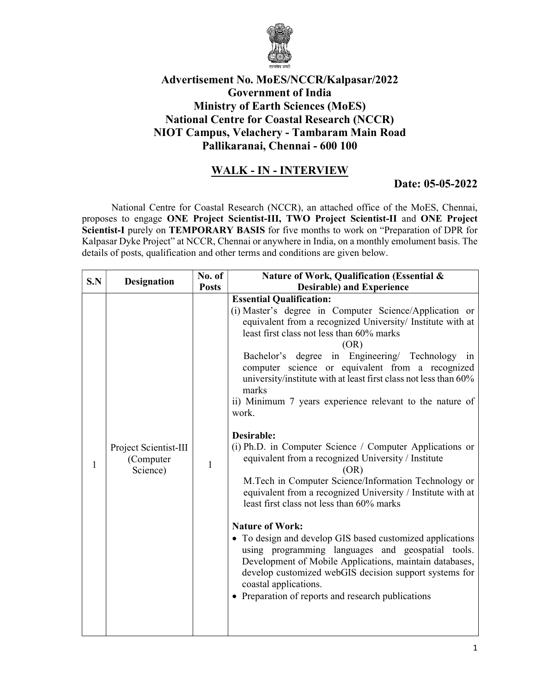

## Advertisement No. MoES/NCCR/Kalpasar/2022 Government of India Ministry of Earth Sciences (MoES) National Centre for Coastal Research (NCCR) NIOT Campus, Velachery - Tambaram Main Road Pallikaranai, Chennai - 600 100

## WALK - IN - INTERVIEW

## Date: 05-05-2022

National Centre for Coastal Research (NCCR), an attached office of the MoES, Chennai, proposes to engage ONE Project Scientist-III, TWO Project Scientist-II and ONE Project Scientist-I purely on TEMPORARY BASIS for five months to work on "Preparation of DPR for Kalpasar Dyke Project" at NCCR, Chennai or anywhere in India, on a monthly emolument basis. The details of posts, qualification and other terms and conditions are given below.

| S.N | No. of<br><b>Designation</b>                                   | Nature of Work, Qualification (Essential &                                                                                                                                                                                                                                                                                                                                                                                                                                                                                                                                                                                                                                                                                                                                                                                                                                                                                                                                                                                                                                                                                         |  |
|-----|----------------------------------------------------------------|------------------------------------------------------------------------------------------------------------------------------------------------------------------------------------------------------------------------------------------------------------------------------------------------------------------------------------------------------------------------------------------------------------------------------------------------------------------------------------------------------------------------------------------------------------------------------------------------------------------------------------------------------------------------------------------------------------------------------------------------------------------------------------------------------------------------------------------------------------------------------------------------------------------------------------------------------------------------------------------------------------------------------------------------------------------------------------------------------------------------------------|--|
|     | <b>Posts</b>                                                   | <b>Desirable) and Experience</b>                                                                                                                                                                                                                                                                                                                                                                                                                                                                                                                                                                                                                                                                                                                                                                                                                                                                                                                                                                                                                                                                                                   |  |
| 1   | Project Scientist-III<br>(Computer<br>$\mathbf{1}$<br>Science) | <b>Essential Qualification:</b><br>(i) Master's degree in Computer Science/Application or<br>equivalent from a recognized University/ Institute with at<br>least first class not less than 60% marks<br>(OR)<br>Bachelor's degree in Engineering/ Technology in<br>computer science or equivalent from a recognized<br>university/institute with at least first class not less than 60%<br>marks<br>ii) Minimum 7 years experience relevant to the nature of<br>work.<br>Desirable:<br>(i) Ph.D. in Computer Science / Computer Applications or<br>equivalent from a recognized University / Institute<br>(OR)<br>M.Tech in Computer Science/Information Technology or<br>equivalent from a recognized University / Institute with at<br>least first class not less than 60% marks<br><b>Nature of Work:</b><br>• To design and develop GIS based customized applications<br>using programming languages and geospatial tools.<br>Development of Mobile Applications, maintain databases,<br>develop customized webGIS decision support systems for<br>coastal applications.<br>• Preparation of reports and research publications |  |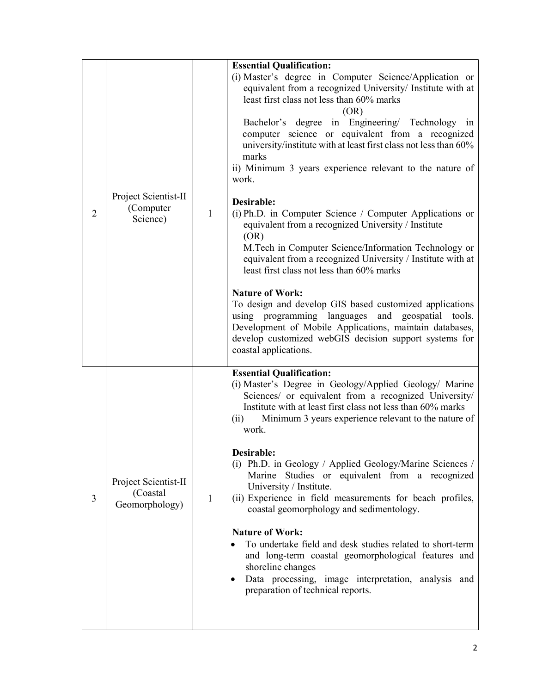| $\overline{2}$ | Project Scientist-II<br>(Computer<br>Science)       | $\mathbf{1}$ | <b>Essential Qualification:</b><br>(i) Master's degree in Computer Science/Application or<br>equivalent from a recognized University/ Institute with at<br>least first class not less than 60% marks<br>(OR)<br>Bachelor's degree in Engineering/ Technology in<br>computer science or equivalent from a recognized<br>university/institute with at least first class not less than 60%<br>marks<br>ii) Minimum 3 years experience relevant to the nature of<br>work.<br>Desirable:<br>(i) Ph.D. in Computer Science / Computer Applications or<br>equivalent from a recognized University / Institute<br>(OR)<br>M.Tech in Computer Science/Information Technology or<br>equivalent from a recognized University / Institute with at<br>least first class not less than 60% marks<br><b>Nature of Work:</b><br>To design and develop GIS based customized applications<br>using programming languages and geospatial tools. |
|----------------|-----------------------------------------------------|--------------|------------------------------------------------------------------------------------------------------------------------------------------------------------------------------------------------------------------------------------------------------------------------------------------------------------------------------------------------------------------------------------------------------------------------------------------------------------------------------------------------------------------------------------------------------------------------------------------------------------------------------------------------------------------------------------------------------------------------------------------------------------------------------------------------------------------------------------------------------------------------------------------------------------------------------|
|                |                                                     |              | Development of Mobile Applications, maintain databases,<br>develop customized webGIS decision support systems for<br>coastal applications.                                                                                                                                                                                                                                                                                                                                                                                                                                                                                                                                                                                                                                                                                                                                                                                   |
| 3              | Project Scientist-II<br>(Coastal)<br>Geomorphology) | $\mathbf{1}$ | <b>Essential Qualification:</b><br>(i) Master's Degree in Geology/Applied Geology/ Marine<br>Sciences/ or equivalent from a recognized University/<br>Institute with at least first class not less than 60% marks<br>Minimum 3 years experience relevant to the nature of<br>(ii)<br>work.<br>Desirable:<br>(i) Ph.D. in Geology / Applied Geology/Marine Sciences /<br>Marine Studies or equivalent from a recognized<br>University / Institute.<br>(ii) Experience in field measurements for beach profiles,<br>coastal geomorphology and sedimentology.<br><b>Nature of Work:</b>                                                                                                                                                                                                                                                                                                                                         |
|                |                                                     |              | To undertake field and desk studies related to short-term<br>and long-term coastal geomorphological features and<br>shoreline changes<br>Data processing, image interpretation, analysis and<br>preparation of technical reports.                                                                                                                                                                                                                                                                                                                                                                                                                                                                                                                                                                                                                                                                                            |